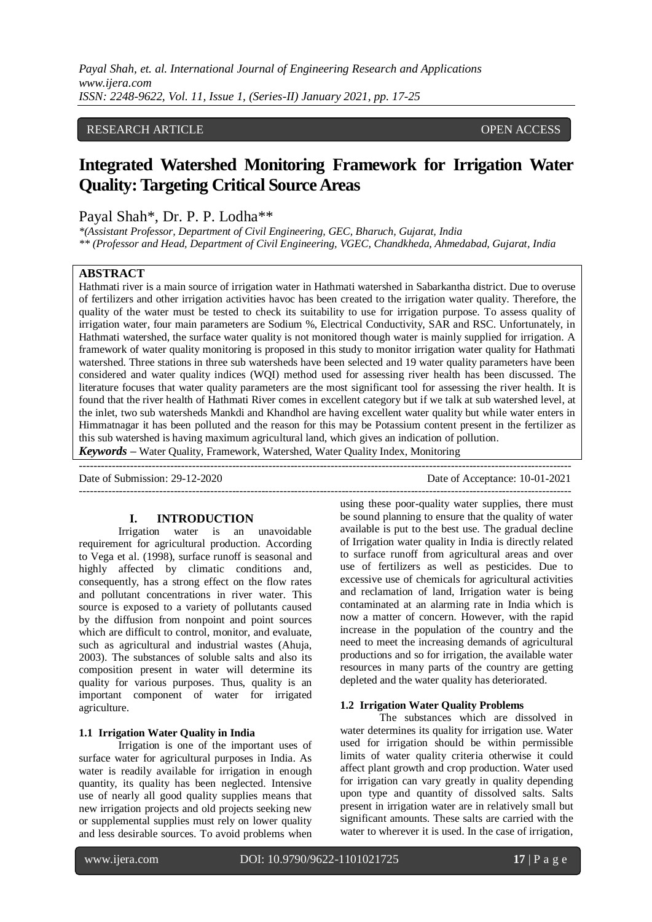*Payal Shah, et. al. International Journal of Engineering Research and Applications www.ijera.com ISSN: 2248-9622, Vol. 11, Issue 1, (Series-II) January 2021, pp. 17-25*

# RESEARCH ARTICLE **CONSERVERS** OPEN ACCESS

# **Integrated Watershed Monitoring Framework for Irrigation Water Quality: Targeting Critical Source Areas**

# Payal Shah\*, Dr. P. P. Lodha\*\*

*\*(Assistant Professor, Department of Civil Engineering, GEC, Bharuch, Gujarat, India \*\* (Professor and Head, Department of Civil Engineering, VGEC, Chandkheda, Ahmedabad, Gujarat, India*

# **ABSTRACT**

Hathmati river is a main source of irrigation water in Hathmati watershed in Sabarkantha district. Due to overuse of fertilizers and other irrigation activities havoc has been created to the irrigation water quality. Therefore, the quality of the water must be tested to check its suitability to use for irrigation purpose. To assess quality of irrigation water, four main parameters are Sodium %, Electrical Conductivity, SAR and RSC. Unfortunately, in Hathmati watershed, the surface water quality is not monitored though water is mainly supplied for irrigation. A framework of water quality monitoring is proposed in this study to monitor irrigation water quality for Hathmati watershed. Three stations in three sub watersheds have been selected and 19 water quality parameters have been considered and water quality indices (WQI) method used for assessing river health has been discussed. The literature focuses that water quality parameters are the most significant tool for assessing the river health. It is found that the river health of Hathmati River comes in excellent category but if we talk at sub watershed level, at the inlet, two sub watersheds Mankdi and Khandhol are having excellent water quality but while water enters in Himmatnagar it has been polluted and the reason for this may be Potassium content present in the fertilizer as this sub watershed is having maximum agricultural land, which gives an indication of pollution.

*Keywords* **–** Water Quality, Framework, Watershed, Water Quality Index, Monitoring

| Date of Submission: 29-12-2020 | Date of Acceptance: 10-01-2021 |
|--------------------------------|--------------------------------|
|                                |                                |

#### **I. INTRODUCTION**

Irrigation water is an unavoidable requirement for agricultural production. According to Vega et al. (1998), surface runoff is seasonal and highly affected by climatic conditions and, consequently, has a strong effect on the flow rates and pollutant concentrations in river water. This source is exposed to a variety of pollutants caused by the diffusion from nonpoint and point sources which are difficult to control, monitor, and evaluate, such as agricultural and industrial wastes (Ahuja, 2003). The substances of soluble salts and also its composition present in water will determine its quality for various purposes. Thus, quality is an important component of water for irrigated agriculture.

#### **1.1 Irrigation Water Quality in India**

Irrigation is one of the important uses of surface water for agricultural purposes in India. As water is readily available for irrigation in enough quantity, its quality has been neglected. Intensive use of nearly all good quality supplies means that new irrigation projects and old projects seeking new or supplemental supplies must rely on lower quality and less desirable sources. To avoid problems when

using these poor-quality water supplies, there must be sound planning to ensure that the quality of water available is put to the best use. The gradual decline of Irrigation water quality in India is directly related to surface runoff from agricultural areas and over use of fertilizers as well as pesticides. Due to excessive use of chemicals for agricultural activities and reclamation of land, Irrigation water is being contaminated at an alarming rate in India which is now a matter of concern. However, with the rapid increase in the population of the country and the need to meet the increasing demands of agricultural productions and so for irrigation, the available water resources in many parts of the country are getting depleted and the water quality has deteriorated.

## **1.2 Irrigation Water Quality Problems**

The substances which are dissolved in water determines its quality for irrigation use. Water used for irrigation should be within permissible limits of water quality criteria otherwise it could affect plant growth and crop production. Water used for irrigation can vary greatly in quality depending upon type and quantity of dissolved salts. Salts present in irrigation water are in relatively small but significant amounts. These salts are carried with the water to wherever it is used. In the case of irrigation,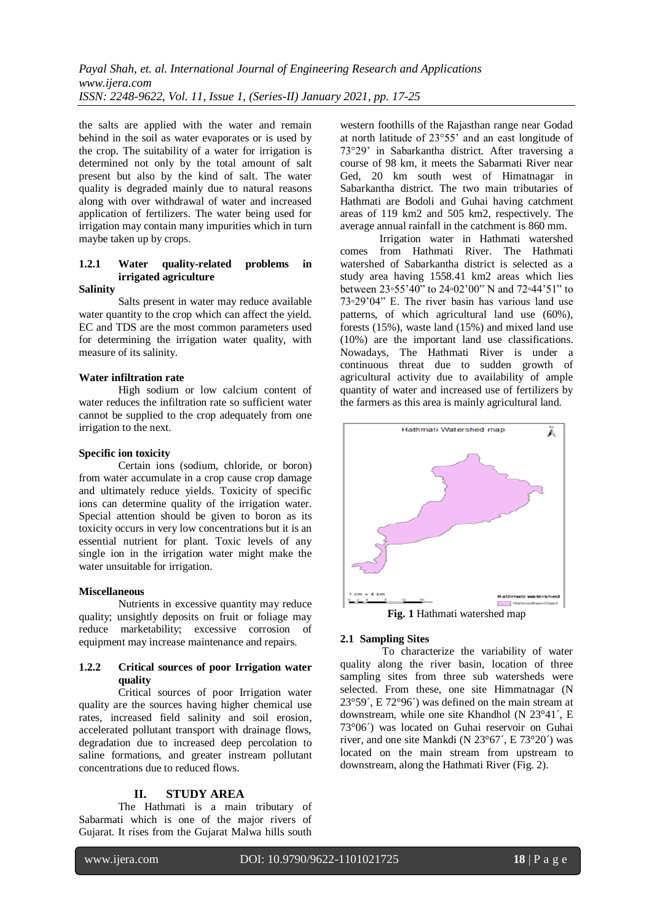the salts are applied with the water and remain behind in the soil as water evaporates or is used by the crop. The suitability of a water for irrigation is determined not only by the total amount of salt present but also by the kind of salt. The water quality is degraded mainly due to natural reasons along with over withdrawal of water and increased application of fertilizers. The water being used for irrigation may contain many impurities which in turn maybe taken up by crops.

# **1.2.1 Water quality-related problems in irrigated agriculture**

#### **Salinity**

Salts present in water may reduce available water quantity to the crop which can affect the yield. EC and TDS are the most common parameters used for determining the irrigation water quality, with measure of its salinity.

#### **Water infiltration rate**

High sodium or low calcium content of water reduces the infiltration rate so sufficient water cannot be supplied to the crop adequately from one irrigation to the next.

## **Specific ion toxicity**

Certain ions (sodium, chloride, or boron) from water accumulate in a crop cause crop damage and ultimately reduce yields. Toxicity of specific ions can determine quality of the irrigation water. Special attention should be given to boron as its toxicity occurs in very low concentrations but it is an essential nutrient for plant. Toxic levels of any single ion in the irrigation water might make the water unsuitable for irrigation.

## **Miscellaneous**

Nutrients in excessive quantity may reduce quality; unsightly deposits on fruit or foliage may reduce marketability; excessive corrosion of equipment may increase maintenance and repairs.

## **1.2.2 Critical sources of poor Irrigation water quality**

Critical sources of poor Irrigation water quality are the sources having higher chemical use rates, increased field salinity and soil erosion, accelerated pollutant transport with drainage flows, degradation due to increased deep percolation to saline formations, and greater instream pollutant concentrations due to reduced flows.

#### **II. STUDY AREA**

The Hathmati is a main tributary of Sabarmati which is one of the major rivers of Gujarat. It rises from the Gujarat Malwa hills south

western foothills of the Rajasthan range near Godad at north latitude of 23°55' and an east longitude of 73°29' in Sabarkantha district. After traversing a course of 98 km, it meets the Sabarmati River near Ged, 20 km south west of Himatnagar in Sabarkantha district. The two main tributaries of Hathmati are Bodoli and Guhai having catchment areas of 119 km2 and 505 km2, respectively. The average annual rainfall in the catchment is 860 mm.

Irrigation water in Hathmati watershed comes from Hathmati River. The Hathmati watershed of Sabarkantha district is selected as a study area having 1558.41 km2 areas which lies between 23◦55'40" to 24◦02'00" N and 72◦44'51" to 73◦29'04" E. The river basin has various land use patterns, of which agricultural land use (60%), forests (15%), waste land (15%) and mixed land use (10%) are the important land use classifications. Nowadays, The Hathmati River is under a continuous threat due to sudden growth of agricultural activity due to availability of ample quantity of water and increased use of fertilizers by the farmers as this area is mainly agricultural land.



#### **2.1 Sampling Sites**

To characterize the variability of water quality along the river basin, location of three sampling sites from three sub watersheds were selected. From these, one site Himmatnagar (N 23°59´, E 72°96´) was defined on the main stream at downstream, while one site Khandhol (N 23°41´, E 73°06´) was located on Guhai reservoir on Guhai river, and one site Mankdi (N 23°67´, E 73°20´) was located on the main stream from upstream to downstream, along the Hathmati River (Fig. 2).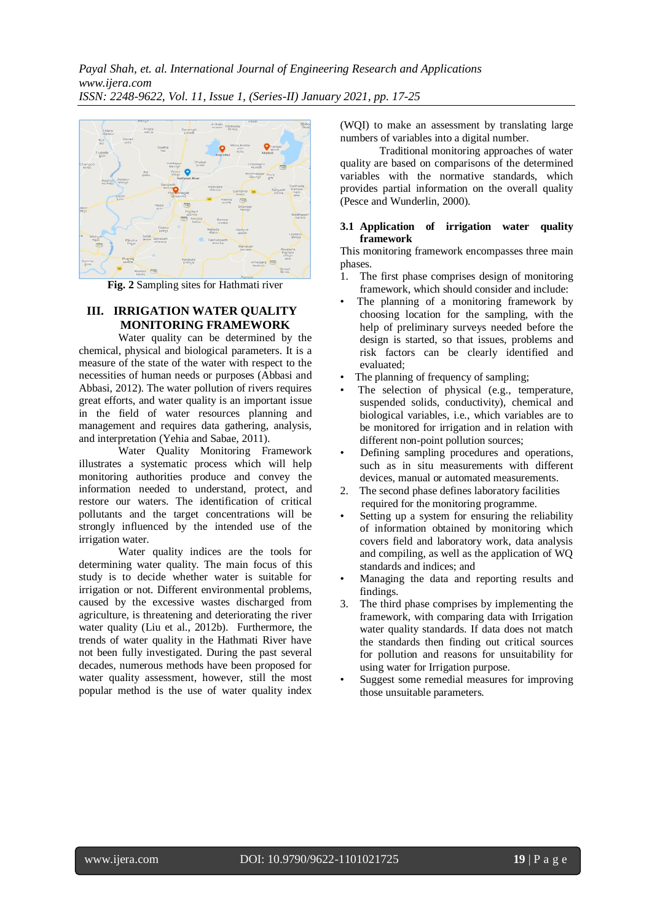

**Fig. 2** Sampling sites for Hathmati river

## **III. IRRIGATION WATER QUALITY MONITORING FRAMEWORK**

Water quality can be determined by the chemical, physical and biological parameters. It is a measure of the state of the water with respect to the necessities of human needs or purposes (Abbasi and Abbasi, 2012). The water pollution of rivers requires great efforts, and water quality is an important issue in the field of water resources planning and management and requires data gathering, analysis, and interpretation (Yehia and Sabae, 2011).

Water Quality Monitoring Framework illustrates a systematic process which will help monitoring authorities produce and convey the information needed to understand, protect, and restore our waters. The identification of critical pollutants and the target concentrations will be strongly influenced by the intended use of the irrigation water.

Water quality indices are the tools for determining water quality. The main focus of this study is to decide whether water is suitable for irrigation or not. Different environmental problems, caused by the excessive wastes discharged from agriculture, is threatening and deteriorating the river water quality (Liu et al., 2012b). Furthermore, the trends of water quality in the Hathmati River have not been fully investigated. During the past several decades, numerous methods have been proposed for water quality assessment, however, still the most popular method is the use of water quality index

(WQI) to make an assessment by translating large numbers of variables into a digital number.

Traditional monitoring approaches of water quality are based on comparisons of the determined variables with the normative standards, which provides partial information on the overall quality (Pesce and Wunderlin, 2000).

## **3.1 Application of irrigation water quality framework**

This monitoring framework encompasses three main phases.

- 1. The first phase comprises design of monitoring framework, which should consider and include:
- The planning of a monitoring framework by choosing location for the sampling, with the help of preliminary surveys needed before the design is started, so that issues, problems and risk factors can be clearly identified and evaluated;
- The planning of frequency of sampling;
- The selection of physical (e.g., temperature, suspended solids, conductivity), chemical and biological variables, i.e., which variables are to be monitored for irrigation and in relation with different non-point pollution sources;
- Defining sampling procedures and operations, such as in situ measurements with different devices, manual or automated measurements.
- 2. The second phase defines laboratory facilities required for the monitoring programme.
- Setting up a system for ensuring the reliability of information obtained by monitoring which covers field and laboratory work, data analysis and compiling, as well as the application of WQ standards and indices; and
- Managing the data and reporting results and findings.
- 3. The third phase comprises by implementing the framework, with comparing data with Irrigation water quality standards. If data does not match the standards then finding out critical sources for pollution and reasons for unsuitability for using water for Irrigation purpose.
- Suggest some remedial measures for improving those unsuitable parameters.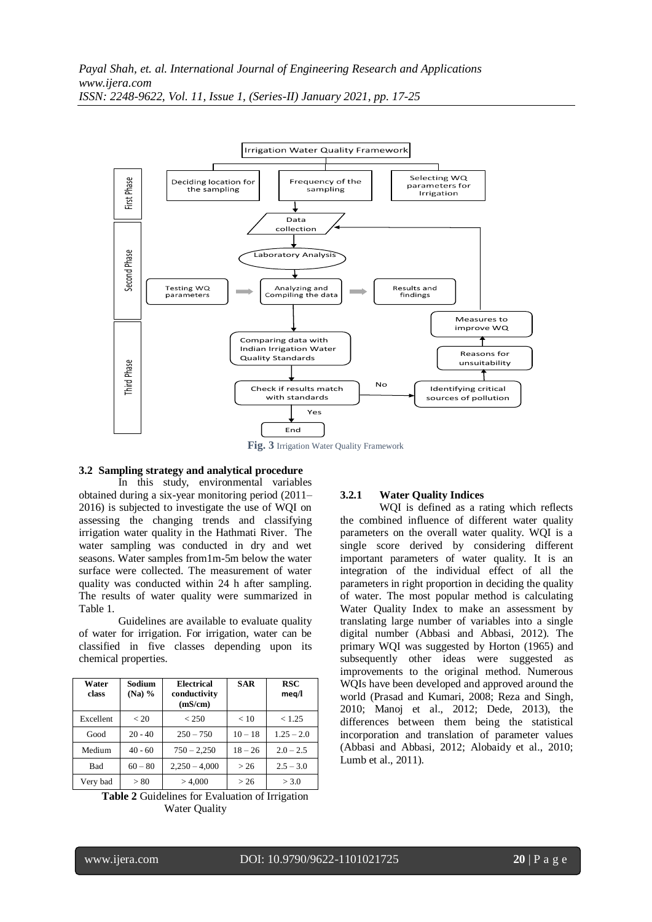

**Fig. 3** Irrigation Water Quality Framework

## **3.2 Sampling strategy and analytical procedure**

In this study, environmental variables obtained during a six-year monitoring period (2011– 2016) is subjected to investigate the use of WQI on assessing the changing trends and classifying irrigation water quality in the Hathmati River. The water sampling was conducted in dry and wet seasons. Water samples from1m-5m below the water surface were collected. The measurement of water quality was conducted within 24 h after sampling. The results of water quality were summarized in Table 1.

Guidelines are available to evaluate quality of water for irrigation. For irrigation, water can be classified in five classes depending upon its chemical properties.

| Water<br>class | Sodium<br>$(Na)$ % | <b>Electrical</b><br>conductivity<br>(mS/cm) | <b>SAR</b> | RSC<br>meg/l |
|----------------|--------------------|----------------------------------------------|------------|--------------|
| Excellent      | < 20               | < 250                                        | < 10       | < 1.25       |
| Good           | $20 - 40$          | $250 - 750$                                  | $10 - 18$  | $1.25 - 2.0$ |
| Medium         | $40 - 60$          | $750 - 2,250$                                | $18 - 26$  | $2.0 - 2.5$  |
| Bad            | $60 - 80$          | $2,250 - 4,000$                              | > 26       | $2.5 - 3.0$  |
| Very bad       | > 80               | > 4,000                                      | > 26       | > 3.0        |

**Table 2** Guidelines for Evaluation of Irrigation Water Quality

#### **3.2.1 Water Quality Indices**

WQI is defined as a rating which reflects the combined influence of different water quality parameters on the overall water quality. WQI is a single score derived by considering different important parameters of water quality. It is an integration of the individual effect of all the parameters in right proportion in deciding the quality of water. The most popular method is calculating Water Quality Index to make an assessment by translating large number of variables into a single digital number (Abbasi and Abbasi, 2012). The primary WQI was suggested by Horton (1965) and subsequently other ideas were suggested as improvements to the original method. Numerous WQIs have been developed and approved around the world (Prasad and Kumari, 2008; Reza and Singh, 2010; Manoj et al., 2012; Dede, 2013), the differences between them being the statistical incorporation and translation of parameter values (Abbasi and Abbasi, 2012; Alobaidy et al., 2010; Lumb et al., 2011).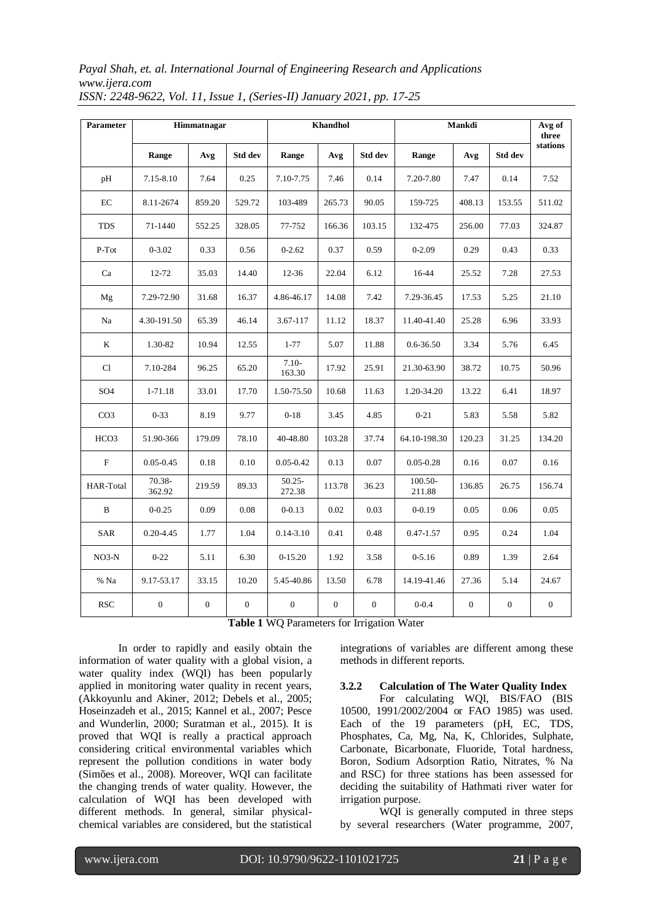*Payal Shah, et. al. International Journal of Engineering Research and Applications www.ijera.com ISSN: 2248-9622, Vol. 11, Issue 1, (Series-II) January 2021, pp. 17-25*

| <b>Parameter</b> |                  | Himmatnagar      |                  |                     | Khandhol     |                  | Mankdi            | Avg of<br>three  |                |                  |
|------------------|------------------|------------------|------------------|---------------------|--------------|------------------|-------------------|------------------|----------------|------------------|
|                  | Range            | Avg              | Std dev          | Range               | Avg          | Std dev          | Range             | Avg              | Std dev        | stations         |
| pH               | 7.15-8.10        | 7.64             | 0.25             | 7.10-7.75           | 7.46         | 0.14             | 7.20-7.80         | 7.47             | 0.14           | 7.52             |
| EC               | 8.11-2674        | 859.20           | 529.72           | 103-489             | 265.73       | 90.05            | 159-725           | 408.13           | 153.55         | 511.02           |
| TDS              | 71-1440          | 552.25           | 328.05           | 77-752              | 166.36       | 103.15           | 132-475           | 256.00           | 77.03          | 324.87           |
| P-Tot            | $0 - 3.02$       | 0.33             | 0.56             | $0 - 2.62$          | 0.37         | 0.59             | $0 - 2.09$        | 0.29             | 0.43           | 0.33             |
| Ca               | 12-72            | 35.03            | 14.40            | $12 - 36$           | 22.04        | 6.12             | 16-44             | 25.52            | 7.28           | 27.53            |
| Mg               | 7.29-72.90       | 31.68            | 16.37            | 4.86-46.17          | 14.08        | 7.42             | 7.29-36.45        | 17.53            | 5.25           | 21.10            |
| Na               | 4.30-191.50      | 65.39            | 46.14            | 3.67-117            | 11.12        | 18.37            | 11.40-41.40       | 25.28            | 6.96           | 33.93            |
| K                | 1.30-82          | 10.94            | 12.55            | $1 - 77$            | 5.07         | 11.88            | 0.6-36.50         | 3.34             | 5.76           | 6.45             |
| Cl               | 7.10-284         | 96.25            | 65.20            | $7.10-$<br>163.30   | 17.92        | 25.91            | 21.30-63.90       | 38.72            | 10.75          | 50.96            |
| SO <sub>4</sub>  | 1-71.18          | 33.01            | 17.70            | 1.50-75.50          | 10.68        | 11.63            | 1.20-34.20        | 13.22            | 6.41           | 18.97            |
| CO <sub>3</sub>  | $0 - 33$         | 8.19             | 9.77             | $0 - 18$            | 3.45         | 4.85             | $0 - 21$          | 5.83             | 5.58           | 5.82             |
| HCO <sub>3</sub> | 51.90-366        | 179.09           | 78.10            | 40-48.80            | 103.28       | 37.74            | 64.10-198.30      | 120.23           | 31.25          | 134.20           |
| $\mathbf{F}$     | $0.05 - 0.45$    | 0.18             | 0.10             | $0.05 - 0.42$       | 0.13         | 0.07             | $0.05 - 0.28$     | 0.16             | 0.07           | 0.16             |
| HAR-Total        | 70.38-<br>362.92 | 219.59           | 89.33            | $50.25 -$<br>272.38 | 113.78       | 36.23            | 100.50-<br>211.88 | 136.85           | 26.75          | 156.74           |
| B                | $0 - 0.25$       | 0.09             | $0.08\,$         | $0 - 0.13$          | 0.02         | 0.03             | $0 - 0.19$        | 0.05             | 0.06           | 0.05             |
| SAR              | $0.20 - 4.45$    | 1.77             | 1.04             | $0.14 - 3.10$       | 0.41         | 0.48             | $0.47 - 1.57$     | 0.95             | 0.24           | 1.04             |
| $NO3-N$          | $0 - 22$         | 5.11             | 6.30             | $0-15.20$           | 1.92         | 3.58             | $0 - 5.16$        | 0.89             | 1.39           | 2.64             |
| % Na             | 9.17-53.17       | 33.15            | 10.20            | 5.45-40.86          | 13.50        | 6.78             | 14.19-41.46       | 27.36            | 5.14           | 24.67            |
| <b>RSC</b>       | $\boldsymbol{0}$ | $\boldsymbol{0}$ | $\boldsymbol{0}$ | $\boldsymbol{0}$    | $\mathbf{0}$ | $\boldsymbol{0}$ | $0 - 0.4$         | $\boldsymbol{0}$ | $\overline{0}$ | $\boldsymbol{0}$ |

**Table 1** WQ Parameters for Irrigation Water

In order to rapidly and easily obtain the information of water quality with a global vision, a water quality index (WQI) has been popularly applied in monitoring water quality in recent years, (Akkoyunlu and Akiner, 2012; Debels et al., 2005; Hoseinzadeh et al., 2015; Kannel et al., 2007; Pesce and Wunderlin, 2000; Suratman et al., 2015). It is proved that WQI is really a practical approach considering critical environmental variables which represent the pollution conditions in water body (Simões et al., 2008). Moreover, WQI can facilitate the changing trends of water quality. However, the calculation of WQI has been developed with different methods. In general, similar physicalchemical variables are considered, but the statistical

integrations of variables are different among these methods in different reports.

## **3.2.2 Calculation of The Water Quality Index**

For calculating WQI, BIS/FAO (BIS 10500, 1991/2002/2004 or FAO 1985) was used. Each of the 19 parameters (pH, EC, TDS, Phosphates, Ca, Mg, Na, K, Chlorides, Sulphate, Carbonate, Bicarbonate, Fluoride, Total hardness, Boron, Sodium Adsorption Ratio, Nitrates, % Na and RSC) for three stations has been assessed for deciding the suitability of Hathmati river water for irrigation purpose.

WOI is generally computed in three steps by several researchers (Water programme, 2007,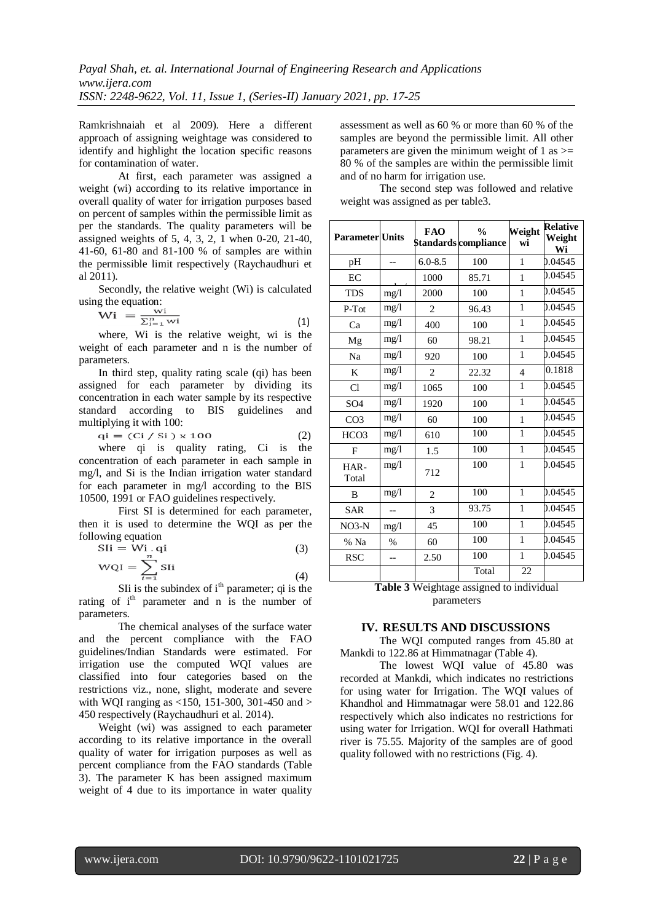Ramkrishnaiah et al 2009). Here a different approach of assigning weightage was considered to identify and highlight the location specific reasons for contamination of water.

At first, each parameter was assigned a weight (wi) according to its relative importance in overall quality of water for irrigation purposes based on percent of samples within the permissible limit as per the standards. The quality parameters will be assigned weights of  $5, 4, 3, 2, 1$  when 0-20, 21-40, 41-60, 61-80 and 81-100 % of samples are within the permissible limit respectively (Raychaudhuri et al 2011).

Secondly, the relative weight (Wi) is calculated using the equation:

$$
Wi = \frac{wi}{\sum_{i=1}^{n} wi}
$$
 (1)

where, Wi is the relative weight, wi is the weight of each parameter and n is the number of parameters.

In third step, quality rating scale (qi) has been assigned for each parameter by dividing its concentration in each water sample by its respective standard according to BIS guidelines and multiplying it with 100:

$$
qi = (Ci / Si) \times 100 \tag{2}
$$

where qi is quality rating, Ci is the concentration of each parameter in each sample in mg/l, and Si is the Indian irrigation water standard for each parameter in mg/l according to the BIS 10500, 1991 or FAO guidelines respectively.

First SI is determined for each parameter, then it is used to determine the WQI as per the following equation

$$
SIi = Wi. qi
$$
  
\n
$$
WQI = \sum_{i=1}^{n} SIi
$$
 (3)

SIi is the subindex of  $i<sup>th</sup>$  parameter; qi is the rating of i<sup>th</sup> parameter and n is the number of parameters.

The chemical analyses of the surface water and the percent compliance with the FAO guidelines/Indian Standards were estimated. For irrigation use the computed WQI values are classified into four categories based on the restrictions viz., none, slight, moderate and severe with WOI ranging as  $\langle 150, 151, 300, 301, 450, 450 \rangle$ 450 respectively (Raychaudhuri et al. 2014).

Weight (wi) was assigned to each parameter according to its relative importance in the overall quality of water for irrigation purposes as well as percent compliance from the FAO standards (Table 3). The parameter K has been assigned maximum weight of 4 due to its importance in water quality

assessment as well as 60 % or more than 60 % of the samples are beyond the permissible limit. All other parameters are given the minimum weight of 1 as  $\geq$ 80 % of the samples are within the permissible limit and of no harm for irrigation use.

The second step was followed and relative weight was assigned as per table3.

| <b>Parameter</b> Units |                          | <b>FAO</b>     | $\frac{0}{0}$<br>Standards compliance | Weight<br>wi   | <b>Relative</b><br>Weight<br>Wi |
|------------------------|--------------------------|----------------|---------------------------------------|----------------|---------------------------------|
| pH                     | $\overline{\phantom{0}}$ | $6.0 - 8.5$    | 100                                   | $\mathbf{1}$   | 0.04545                         |
| EC                     |                          | 1000           | 85.71                                 | 1              | 0.04545                         |
| <b>TDS</b>             | mg/1                     | 2000           | 100                                   | 1              | 0.04545                         |
| P-Tot                  | mg/1                     | $\overline{c}$ | 96.43                                 | 1              | 0.04545                         |
| Ca                     | mg/1                     | 400            | 100                                   | $\mathbf{1}$   | 0.04545                         |
| Mg                     | mg/1                     | 60             | 98.21                                 | $\mathbf{1}$   | 0.04545                         |
| Na                     | mg/1                     | 920            | 100                                   | 1              | 0.04545                         |
| K                      | mg/1                     | $\overline{2}$ | 22.32                                 | $\overline{4}$ | 0.1818                          |
| Cl                     | mg/1                     | 1065           | 100                                   | $\mathbf{1}$   | 0.04545                         |
| SO <sub>4</sub>        | mg/l                     | 1920           | 100                                   | $\mathbf{1}$   | 0.04545                         |
| CO <sub>3</sub>        | mg/1                     | 60             | 100                                   | $\mathbf{1}$   | 0.04545                         |
| HCO <sub>3</sub>       | mg/1                     | 610            | 100                                   | $\mathbf{1}$   | 0.04545                         |
| $\mathbf{F}$           | mg/1                     | 1.5            | 100                                   | 1              | 0.04545                         |
| HAR-<br>Total          | mg/1                     | 712            | 100                                   | $\mathbf{1}$   | 0.04545                         |
| <sub>B</sub>           | mg/1                     | $\overline{c}$ | 100                                   | $\mathbf{1}$   | 0.04545                         |
| <b>SAR</b>             | --                       | 3              | 93.75                                 | $\mathbf{1}$   | 0.04545                         |
| $NO3-N$                | mg/1                     | 45             | 100                                   | $\mathbf{1}$   | 0.04545                         |
| % Na                   | $\%$                     | 60             | 100                                   | $\mathbf{1}$   | 0.04545                         |
| <b>RSC</b>             | $-$                      | 2.50           | 100                                   | $\mathbf{1}$   | 0.04545                         |
|                        |                          |                | Total                                 | 22             |                                 |

## **Table 3** Weightage assigned to individual parameters

## **IV. RESULTS AND DISCUSSIONS**

The WQI computed ranges from 45.80 at Mankdi to 122.86 at Himmatnagar (Table 4).

The lowest WQI value of 45.80 was recorded at Mankdi, which indicates no restrictions for using water for Irrigation. The WQI values of Khandhol and Himmatnagar were 58.01 and 122.86 respectively which also indicates no restrictions for using water for Irrigation. WQI for overall Hathmati river is 75.55. Majority of the samples are of good quality followed with no restrictions (Fig. 4).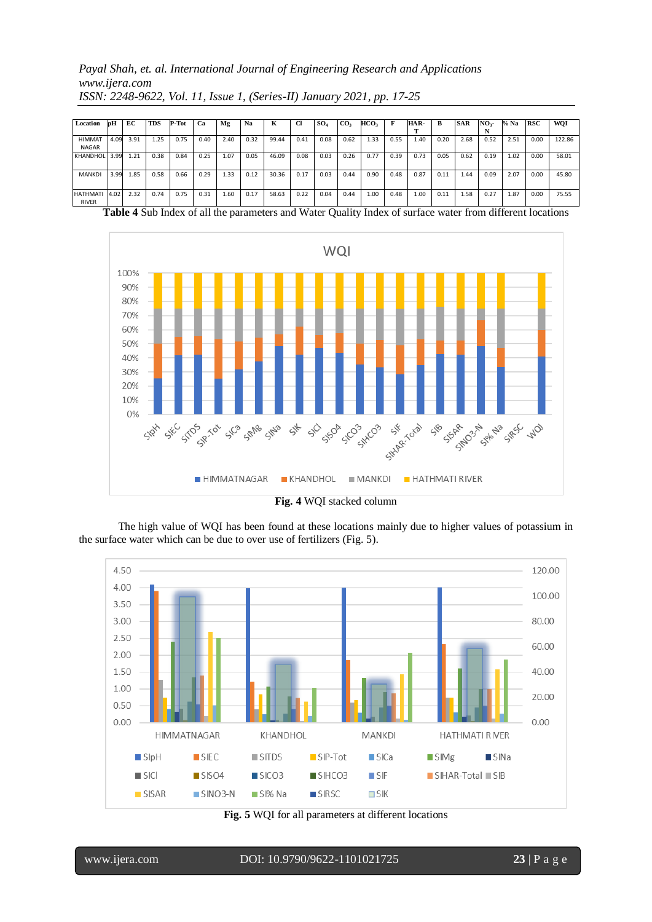*Payal Shah, et. al. International Journal of Engineering Research and Applications www.ijera.com ISSN: 2248-9622, Vol. 11, Issue 1, (Series-II) January 2021, pp. 17-25*

| Location        | bН   | EC   | <b>TDS</b> | P-Tot | Ca   | Mg   | Na   | ĸ     | u    | SO <sub>4</sub> | CO <sub>3</sub> | HCO3 | F    | HAR- | в    | <b>SAR</b> | NO <sub>3</sub> | % Na | <b>RSC</b> | WQI    |
|-----------------|------|------|------------|-------|------|------|------|-------|------|-----------------|-----------------|------|------|------|------|------------|-----------------|------|------------|--------|
|                 |      |      |            |       |      |      |      |       |      |                 |                 |      |      |      |      |            |                 |      |            |        |
| <b>HIMMAT</b>   | 4.09 | 3.91 | 1.25       | 0.75  | 0.40 | 2.40 | 0.32 | 99.44 | 0.41 | 0.08            | 0.62            | 1.33 | 0.55 | 1.40 | 0.20 | 2.68       | 0.52            | 2.51 | 0.00       | 122.86 |
| <b>NAGAR</b>    |      |      |            |       |      |      |      |       |      |                 |                 |      |      |      |      |            |                 |      |            |        |
| <b>KHANDHOL</b> | 3.99 | 1.21 | 0.38       | 0.84  | 0.25 | 1.07 | 0.05 | 46.09 | 0.08 | 0.03            | 0.26            | 0.77 | 0.39 | 0.73 | 0.05 | 0.62       | 0.19            | 1.02 | 0.00       | 58.01  |
|                 |      |      |            |       |      |      |      |       |      |                 |                 |      |      |      |      |            |                 |      |            |        |
| <b>MANKDI</b>   | 3.99 | 1.85 | 0.58       | 0.66  | 0.29 | 1.33 | 0.12 | 30.36 | 0.17 | 0.03            | 0.44            | 0.90 | 0.48 | 0.87 | 0.11 | 1.44       | 0.09            | 2.07 | 0.00       | 45.80  |
|                 |      |      |            |       |      |      |      |       |      |                 |                 |      |      |      |      |            |                 |      |            |        |
| <b>HATHMATI</b> | 4.02 | 2.32 | 0.74       | 0.75  | 0.31 | 1.60 | 0.17 | 58.63 | 0.22 | 0.04            | 0.44            | 1.00 | 0.48 | 1.00 | 0.11 | 1.58       | 0.27            | 1.87 | 0.00       | 75.55  |
| <b>RIVER</b>    |      |      |            |       |      |      |      |       |      |                 |                 |      |      |      |      |            |                 |      |            |        |

**Table 4** Sub Index of all the parameters and Water Quality Index of surface water from different locations



**Fig. 4** WQI stacked column

The high value of WQI has been found at these locations mainly due to higher values of potassium in the surface water which can be due to over use of fertilizers (Fig. 5).



**Fig. 5** WQI for all parameters at different locations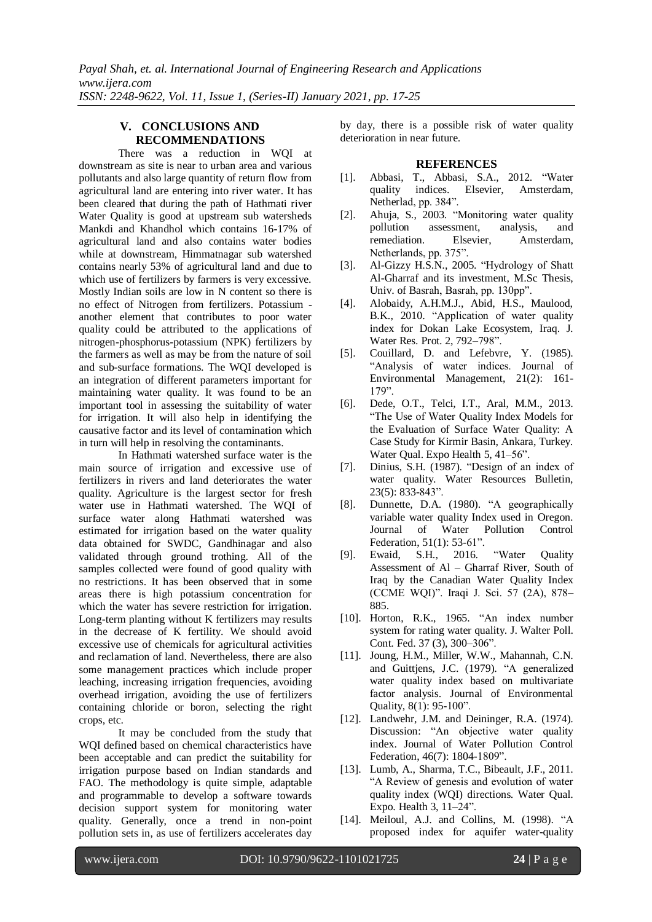# **V. CONCLUSIONS AND RECOMMENDATIONS**

There was a reduction in WQI at downstream as site is near to urban area and various pollutants and also large quantity of return flow from agricultural land are entering into river water. It has been cleared that during the path of Hathmati river Water Quality is good at upstream sub watersheds Mankdi and Khandhol which contains 16-17% of agricultural land and also contains water bodies while at downstream, Himmatnagar sub watershed contains nearly 53% of agricultural land and due to which use of fertilizers by farmers is very excessive. Mostly Indian soils are low in N content so there is no effect of Nitrogen from fertilizers. Potassium another element that contributes to poor water quality could be attributed to the applications of nitrogen-phosphorus-potassium (NPK) fertilizers by the farmers as well as may be from the nature of soil and sub-surface formations. The WQI developed is an integration of different parameters important for maintaining water quality. It was found to be an important tool in assessing the suitability of water for irrigation. It will also help in identifying the causative factor and its level of contamination which in turn will help in resolving the contaminants.

In Hathmati watershed surface water is the main source of irrigation and excessive use of fertilizers in rivers and land deteriorates the water quality. Agriculture is the largest sector for fresh water use in Hathmati watershed. The WQI of surface water along Hathmati watershed was estimated for irrigation based on the water quality data obtained for SWDC, Gandhinagar and also validated through ground trothing. All of the samples collected were found of good quality with no restrictions. It has been observed that in some areas there is high potassium concentration for which the water has severe restriction for irrigation. Long-term planting without K fertilizers may results in the decrease of K fertility. We should avoid excessive use of chemicals for agricultural activities and reclamation of land. Nevertheless, there are also some management practices which include proper leaching, increasing irrigation frequencies, avoiding overhead irrigation, avoiding the use of fertilizers containing chloride or boron, selecting the right crops, etc.

It may be concluded from the study that WQI defined based on chemical characteristics have been acceptable and can predict the suitability for irrigation purpose based on Indian standards and FAO. The methodology is quite simple, adaptable and programmable to develop a software towards decision support system for monitoring water quality. Generally, once a trend in non-point pollution sets in, as use of fertilizers accelerates day

by day, there is a possible risk of water quality deterioration in near future.

## **REFERENCES**

- [1]. Abbasi, T., Abbasi, S.A., 2012. "Water quality indices. Elsevier, Amsterdam, Netherlad, pp. 384".
- [2]. Ahuja, S., 2003. "Monitoring water quality pollution assessment, analysis, and remediation. Elsevier, Amsterdam, Netherlands, pp. 375".
- [3]. Al-Gizzy H.S.N., 2005. "Hydrology of Shatt Al-Gharraf and its investment, M.Sc Thesis, Univ. of Basrah, Basrah, pp. 130pp".
- [4]. Alobaidy, A.H.M.J., Abid, H.S., Maulood, B.K., 2010. "Application of water quality index for Dokan Lake Ecosystem, Iraq. J. Water Res. Prot. 2, 792–798".
- [5]. Couillard, D. and Lefebvre, Y. (1985). "Analysis of water indices. Journal of Environmental Management, 21(2): 161- 179".
- [6]. Dede, O.T., Telci, I.T., Aral, M.M., 2013. "The Use of Water Quality Index Models for the Evaluation of Surface Water Quality: A Case Study for Kirmir Basin, Ankara, Turkey. Water Qual. Expo Health 5, 41–56".
- [7]. Dinius, S.H. (1987). "Design of an index of water quality. Water Resources Bulletin, 23(5): 833-843".
- [8]. Dunnette, D.A. (1980). "A geographically variable water quality Index used in Oregon. Journal of Water Pollution Control Federation, 51(1): 53-61".
- [9]. Ewaid, S.H., 2016. "Water Quality Assessment of Al – Gharraf River, South of Iraq by the Canadian Water Quality Index (CCME WQI)". Iraqi J. Sci. 57 (2A), 878– 885.
- [10]. Horton, R.K., 1965. "An index number system for rating water quality. J. Walter Poll. Cont. Fed. 37 (3), 300–306".
- [11]. Joung, H.M., Miller, W.W., Mahannah, C.N. and Guittjens, J.C. (1979). "A generalized water quality index based on multivariate factor analysis. Journal of Environmental Quality, 8(1): 95-100".
- [12]. Landwehr, J.M. and Deininger, R.A. (1974). Discussion: "An objective water quality index. Journal of Water Pollution Control Federation, 46(7): 1804-1809".
- [13]. Lumb, A., Sharma, T.C., Bibeault, J.F., 2011. "A Review of genesis and evolution of water quality index (WQI) directions. Water Qual. Expo. Health 3, 11–24".
- [14]. Meiloul, A.J. and Collins, M. (1998). "A proposed index for aquifer water-quality